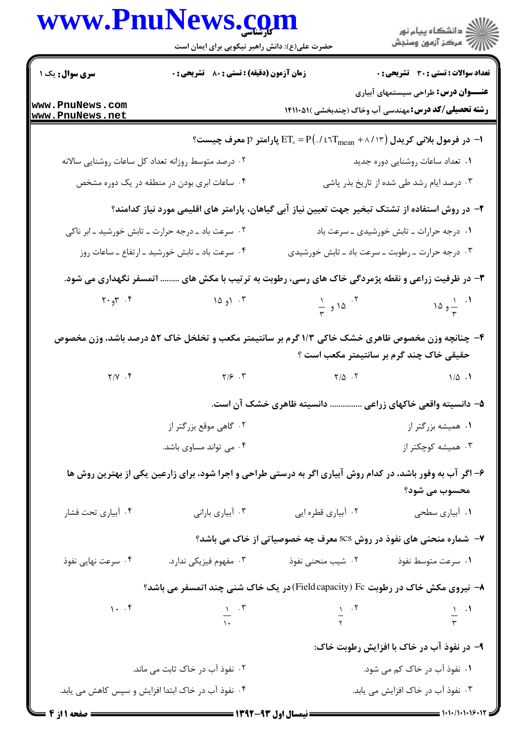|                                                                                       | www.PnuNews.com<br>حضرت علی(ع): دانش راهبر نیکویی برای ایمان است                                           |                                                                                                                                 |                                                                                                                    |
|---------------------------------------------------------------------------------------|------------------------------------------------------------------------------------------------------------|---------------------------------------------------------------------------------------------------------------------------------|--------------------------------------------------------------------------------------------------------------------|
| سری سوال: یک ۱                                                                        | زمان آزمون (دقیقه) : تستی : 80 ٪ تشریحی : 0                                                                |                                                                                                                                 | <b>تعداد سوالات : تستی : 30 ٪ تشریحی : 0</b>                                                                       |
| www.PnuNews.com<br>www.PnuNews.net                                                    |                                                                                                            |                                                                                                                                 | <b>عنـــوان درس:</b> طراحی سیستمهای آبیاری<br><b>رشته تحصیلی/کد درس:</b> مهندسی آب وخاک (چندبخشی )۱۴۱۱۰۵۱ <b>۱</b> |
|                                                                                       |                                                                                                            | ا− در فرمول بلانی کریدل (۱۳ $\rm T_{mean}+\wedge\wedge\wedge\tau$ ET $_{\circ}$ = P $(0.767_{\rm mean}+\wedge\wedge\wedge\tau)$ |                                                                                                                    |
|                                                                                       | ۰۲ درصد متوسط روزانه تعداد کل ساعات روشنایی سالانه                                                         |                                                                                                                                 | ۰۱ تعداد ساعات روشنایی دوره جدید                                                                                   |
|                                                                                       | ۰۴ ساعات ابری بودن در منطقه در یک دوره مشخص                                                                |                                                                                                                                 | ۰۳ درصد ایام رشد طی شده از تاریخ بذر پاشی                                                                          |
|                                                                                       | ۲– در روش استفاده از تشتک تبخیر جهت تعیین نیاز آبی گیاهان، پارامتر های اقلیمی مورد نیاز کدامند؟            |                                                                                                                                 |                                                                                                                    |
|                                                                                       | ۰۲ سرعت باد ــ درجه حرارت ــ تابش خورشید ــ ابر ناکی                                                       |                                                                                                                                 | ۰۱ درجه حرارات ــ تابش خورشیدی ــ سرعت باد                                                                         |
|                                                                                       | ۰۴ سرعت باد ــ تابش خورشید ــ ارتفاع ــ ساعات روز                                                          |                                                                                                                                 | ۰۳ درجه حرارت ـ رطوبت ـ سرعت باد ـ تابش خورشیدی                                                                    |
|                                                                                       | ۳- در ظرفیت زراعی و نقطه پژمردگی خاک های رسی، رطوبت به ترتیب با مکش های  اتمسفر نگهداری می شود.            |                                                                                                                                 |                                                                                                                    |
| ۲۰ م $\mathcal{F}$ ۰۴                                                                 | ۰۳ (و ۱۵                                                                                                   | $\frac{1}{r}$ $\frac{1}{2}$ $\frac{10}{2}$                                                                                      | 1. $\frac{1}{r}$ و ۱۵                                                                                              |
|                                                                                       | ۴- چنانچه وزن مخصوص ظاهری خشک خاکی ۱/۳ گرم بر سانتیمتر مکعب و تخلخل خاک ۵۲ درصد باشد، وزن مخصوص            |                                                                                                                                 | حقیقی خاک چند گرم بر سانتیمتر مکعب است ؟                                                                           |
| $Y/Y$ . $Y$                                                                           | $Y/\mathcal{F}$ . $Y$                                                                                      | $Y/\Delta$ $Y$                                                                                                                  | $1/\Delta$ .                                                                                                       |
|                                                                                       |                                                                                                            | ۵– دانسیته واقعی خاکهای زراعی  دانسیته ظاهری خشک آن است.                                                                        |                                                                                                                    |
|                                                                                       | ۰۲ گاهی موقع بزرگتر از                                                                                     |                                                                                                                                 | ۰۱ همیشه بزرگتر از                                                                                                 |
|                                                                                       | ۰۴ می تواند مساوی باشد.                                                                                    |                                                                                                                                 | ۰۳ همیشه کوچکتر از                                                                                                 |
|                                                                                       | ۶- اگر آب به وفور باشد، در کدام روش آبیاری اگر به درستی طراحی و اجرا شود، برای زارعین یکی از بهترین روش ها |                                                                                                                                 | محسوب می شود؟                                                                                                      |
| ۰۴ آبیاری تحت فشار                                                                    | ۰۳ آبیاری بارانی                                                                                           | ۰۲ آبیاری قطره ایی                                                                                                              | ١. أبياري سطحي                                                                                                     |
|                                                                                       |                                                                                                            |                                                                                                                                 | ۷- شماره منحنی های نفوذ در روش SCS معرف چه خصوصیاتی از خاک می باشد؟                                                |
| ۰۴ سرعت نهایی نفوذ                                                                    | ۰۳ مفهوم فیزیکی ندارد.                                                                                     | ۰۲ شیب منحنی نفوذ                                                                                                               | ٠١ سرعت متوسط نفوذ                                                                                                 |
|                                                                                       | ۸− نیروی مکش خاک در رطوبت Fieldcapacity) Fc) در یک خاک شنی چند اتمسفر می باشد؟                             |                                                                                                                                 |                                                                                                                    |
| $1 - .5$                                                                              | $\frac{1}{16}$ $\frac{1}{16}$                                                                              | $\frac{1}{\gamma}$ . Y                                                                                                          | $\frac{1}{r}$ $\frac{1}{r}$                                                                                        |
|                                                                                       |                                                                                                            |                                                                                                                                 |                                                                                                                    |
|                                                                                       |                                                                                                            |                                                                                                                                 | ۹- در نفوذ آب در خاک با افزایش رطوبت خاک:                                                                          |
| ۰۲ نفوذ آب در خاک ثابت می ماند.<br>۴. نفوذ آب د. خاک ابتدا افزایش و سپس کاهش می باید. |                                                                                                            | ۰۱ نفوذ آب در خاک کم می شود.<br>۰۳ نفوذ آب د. خاک افزایش می باید.                                                               |                                                                                                                    |

 $1 - 1 - 11 - 1 - 15 - 17$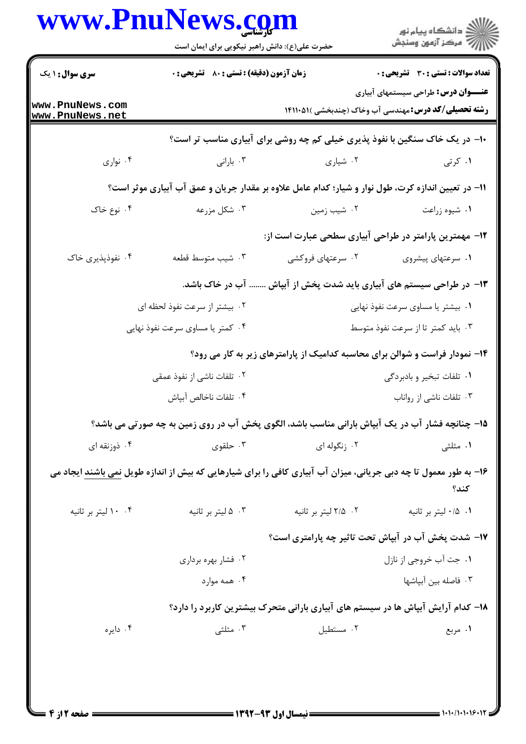| <b>سری سوال : ۱ یک</b>                                                                             | <b>زمان آزمون (دقیقه) : تستی : 80 ٪ تشریحی : 0</b> |                                                                                                                   | <b>تعداد سوالات : تستی : 30 ٪ تشریحی : 0</b>                                                              |  |  |
|----------------------------------------------------------------------------------------------------|----------------------------------------------------|-------------------------------------------------------------------------------------------------------------------|-----------------------------------------------------------------------------------------------------------|--|--|
|                                                                                                    |                                                    |                                                                                                                   |                                                                                                           |  |  |
| www.PnuNews.com<br>www.PnuNews.net                                                                 |                                                    |                                                                                                                   | <b>عنـــوان درس:</b> طراحی سیستمهای آبیاری<br><b>رشته تحصیلی/کد درس:</b> مهندسی آب وخاک (چندبخشی )۵۱۱۰۵۱۱ |  |  |
|                                                                                                    |                                                    | ۱۰− در یک خاک سنگین با نفوذ پذیری خیلی کم چه روشی برای آبیاری مناسب تر است؟                                       |                                                                                                           |  |  |
| ۰۴ نواری                                                                                           | ۰۳ بارانی                                          | ۰۲ شیاری                                                                                                          | ۰۱ کرتی                                                                                                   |  |  |
| 1۱– در تعیین اندازه کرت، طول نوار و شیار؛ کدام عامل علاوه بر مقدار جریان و عمق آب آبیاری موثر است؟ |                                                    |                                                                                                                   |                                                                                                           |  |  |
| ۰۴ نوع خاک                                                                                         | ۰۳ شکل مزرعه                                       | ۰۲ شیب زمین                                                                                                       | ۰۱ شیوه زراعت                                                                                             |  |  |
|                                                                                                    |                                                    | ۱۲– مهمترین پارامتر در طراحی آبیاری سطحی عبارت است از:                                                            |                                                                                                           |  |  |
| ۰۴ نفوذپذیری خاک                                                                                   | ٠٣ شيب متوسط قطعه                                  | ۰۲ سرعتهای فروکشی                                                                                                 | ۰۱ سرعتهای پیشروی                                                                                         |  |  |
|                                                                                                    |                                                    | ۱۳– در طراحی سیستم های آبیاری باید شدت پخش از آبپاش  آب در خاک باشد.                                              |                                                                                                           |  |  |
|                                                                                                    | ۰۲ بیشتر از سرعت نفوذ لحظه ای                      |                                                                                                                   | ۰۱ بیشتر یا مساوی سرعت نفوذ نهایی                                                                         |  |  |
|                                                                                                    | ۰۴ کمتر یا مساوی سرعت نفوذ نهایی                   |                                                                                                                   | ۰۳ باید کمتر تا از سرعت نفوذ متوسط                                                                        |  |  |
|                                                                                                    |                                                    | ۱۴- نمودار فراست و شوالن برای محاسبه کدامیک از پارامترهای زیر به کار می رود؟                                      |                                                                                                           |  |  |
|                                                                                                    | ۰۲ تلفات ناشی از نفوذ عمقی                         |                                                                                                                   | ۰۱ تلفات تبخير و بادبردگي                                                                                 |  |  |
|                                                                                                    | ۰۴ تلفات ناخالص آبپاش                              |                                                                                                                   | ۰۳ تلفات ناشی از رواناب                                                                                   |  |  |
|                                                                                                    |                                                    | ۱۵- چنانچه فشار آب در یک آبپاش بارانی مناسب باشد، الگوی پخش آب در روی زمین به چه صورتی می باشد؟                   |                                                                                                           |  |  |
| ۰۴ ذوزنقه ای                                                                                       | ۰۳ حلقوی                                           | ۰۲ زنگوله ای                                                                                                      | ۰۱ مثلثی                                                                                                  |  |  |
|                                                                                                    |                                                    | ۱۶- به طور معمول تا چه دبی جریانی، میزان آب آبیاری کافی را برای شیارهایی که بیش از اندازه طویل نمی باشند ایجاد می | كند؟                                                                                                      |  |  |
| ۰۴ ۱۰ لیتر بر ثانیه                                                                                | ۰۳ ه ليتر بر ثانيه                                 | ٠٢ ٢/٥ ليتر بر ثانيه                                                                                              | ۰۱ ۰/۵ ليتر بر ثانيه                                                                                      |  |  |
|                                                                                                    |                                                    | ۱۷– شدت پخش آب در آبپاش تحت تاثیر چه پارامتری است؟                                                                |                                                                                                           |  |  |
|                                                                                                    | ۰۲ فشار بهره برداری                                |                                                                                                                   | ٠١. جت أب خروجي از نازل                                                                                   |  |  |
|                                                                                                    | ۰۴ همه موارد                                       |                                                                                                                   | ۰۳ فاصله بین آبپاشها                                                                                      |  |  |
|                                                                                                    |                                                    | ۱۸– کدام آرایش آبپاش ها در سیستم های آبیاری بارانی متحرک بیشترین کاربرد را دارد؟                                  |                                                                                                           |  |  |
| ۰۴ دایره                                                                                           | ۰۳ مثلثی                                           | ۰۲ مستطيل                                                                                                         | ۰۱ مربع                                                                                                   |  |  |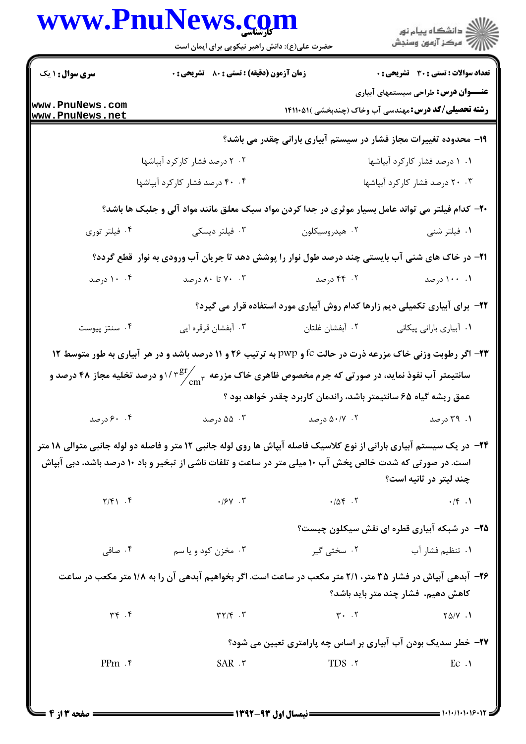|                                                                                                   | www.PnuNews.com                                                                                                      |                                                                             | )<br>است دانشگاه پيام نور<br>است درکز آزمون وسنڊش                                                         |  |  |
|---------------------------------------------------------------------------------------------------|----------------------------------------------------------------------------------------------------------------------|-----------------------------------------------------------------------------|-----------------------------------------------------------------------------------------------------------|--|--|
|                                                                                                   | حضرت علی(ع): دانش راهبر نیکویی برای ایمان است                                                                        |                                                                             |                                                                                                           |  |  |
| <b>سری سوال : ۱ یک</b>                                                                            | زمان آزمون (دقیقه) : تستی : 80 ٪ تشریحی : 0                                                                          |                                                                             | <b>تعداد سوالات : تستی : 30 ٪ تشریحی : 0</b>                                                              |  |  |
| www.PnuNews.com<br>www.PnuNews.net                                                                |                                                                                                                      |                                                                             | <b>عنـــوان درس:</b> طراحی سیستمهای آبیاری<br><b>رشته تحصیلی/کد درس:</b> مهندسی آب وخاک (چندبخشی )۵۱۱۰۵۱۱ |  |  |
|                                                                                                   |                                                                                                                      | ۱۹- محدوده تغییرات مجاز فشار در سیستم آبیاری بارانی چقدر می باشد؟           |                                                                                                           |  |  |
|                                                                                                   | ۲۰۲ درصد فشار کارکرد آبپاشها                                                                                         |                                                                             | ۰۱ درصد فشار کارکرد آبپاشها                                                                               |  |  |
|                                                                                                   | ۴۰ ۴۰ درصد فشار کارکرد آبپاشها                                                                                       |                                                                             | ۰۳ ۲۰ درصد فشار کارکرد آبپاشها                                                                            |  |  |
| ۲۰- کدام فیلتر می تواند عامل بسیار موثری در جدا کردن مواد سبک معلق مانند مواد آلی و جلبک ها باشد؟ |                                                                                                                      |                                                                             |                                                                                                           |  |  |
| ۰۴ فیلتر توری                                                                                     | ۰۳ فیلتر دیسکی                                                                                                       | ۰۲ هیدروسیکلون                                                              | ۰۱ فیلتر شنی                                                                                              |  |  |
|                                                                                                   | <b>۲۱</b> - در خاک های شنی آب بایستی چند درصد طول نوار را پوشش دهد تا جریان آب ورودی به نوار  قطع گردد؟              |                                                                             |                                                                                                           |  |  |
| ۰۰ ۱۰ درصد                                                                                        | ۰۳ تا ۸۰ درصد                                                                                                        | ۰۲ - ۴۴ درصد                                                                | ۰۱ ۱۰۰ درصد                                                                                               |  |  |
|                                                                                                   |                                                                                                                      | ۲۲- برای آبیاری تکمیلی دیم زارها کدام روش آبیاری مورد استفاده قرار می گیرد؟ |                                                                                                           |  |  |
| ۰۴ سنتز پیوست                                                                                     | ۰۳ آبفشان قرقره ایی                                                                                                  | ۰۲ آبفشان غلتان                                                             | ٠١ أبياري باراني پيكاني                                                                                   |  |  |
|                                                                                                   | <b>۲۳</b> - اگر رطوبت وزنی خاک مزرعه ذرت در حالت fc و pwp به ترتیب ۲۶ و ۱۱ درصد باشد و در هر آبیاری به طور متوسط ۱۲  |                                                                             |                                                                                                           |  |  |
|                                                                                                   | سانتیمتر آب نفوذ نماید، در صورتی که جرم مخصوص ظاهری خاک مزرعه چسم ۱/ ۳ $\frac{\rm{gr}}{c\rm{m}^{\rm{m}}}$            |                                                                             |                                                                                                           |  |  |
|                                                                                                   |                                                                                                                      | عمق ریشه گیاه ۶۵ سانتیمتر باشد، راندمان کاربرد چقدر خواهد بود ؟             |                                                                                                           |  |  |
| ۰.۴ ورصد                                                                                          | ۰۳ درصد                                                                                                              | ۰۲ ۵۰/۷ درصد                                                                | ۰۱ ۳۹ درصد                                                                                                |  |  |
|                                                                                                   | ۲۴- در یک سیستم آبیاری بارانی از نوع کلاسیک فاصله آبپاش ها روی لوله جانبی ۱۲ متر و فاصله دو لوله جانبی متوالی ۱۸ متر |                                                                             |                                                                                                           |  |  |
|                                                                                                   | است. در صورتی که شدت خالص پخش آب ۱۰ میلی متر در ساعت و تلفات ناشی از تبخیر و باد ۱۰ درصد باشد، دبی آبپاش             |                                                                             | چند ليتر در ثانيه است؟                                                                                    |  |  |
|                                                                                                   | $Y/F$ $F$ $\cdot$ $/5V$ $\cdot$ $T$                                                                                  | $-10F$ .                                                                    | $\cdot$ /f $\cdot$ )                                                                                      |  |  |
|                                                                                                   |                                                                                                                      |                                                                             | <b>۲۵</b> - در شبکه آبیاری قطره ای نقش سیکلون چیست؟                                                       |  |  |
| ۰۴ صافی                                                                                           | ۰۳ مخزن کود و یا سم                                                                                                  | ۰۲ سختی گیر                                                                 | ۰۱ تنظیم فشار آب                                                                                          |  |  |
|                                                                                                   | ۲۶– آبدهی آبپاش در فشار ۳۵ متر، ۲/۱ متر مکعب در ساعت است. اگر بخواهیم آبدهی آن را به ۱/۸ متر مکعب در ساعت            |                                                                             | کاهش دهیم، فشار چند متر باید باشد؟                                                                        |  |  |
| $\Upsilon \uparrow \Upsilon$                                                                      |                                                                                                                      |                                                                             | $Y\Delta/Y$ .                                                                                             |  |  |
|                                                                                                   |                                                                                                                      | ۲۷- خطر سدیک بودن آب آبیاری بر اساس چه پارامتری تعیین می شود؟               |                                                                                                           |  |  |
| $PPm$ . ۴                                                                                         | $SAR \cdot r$                                                                                                        | TDS .٢                                                                      | $E_{\rm C}$ .                                                                                             |  |  |
|                                                                                                   |                                                                                                                      |                                                                             |                                                                                                           |  |  |

 $=$  1+1+/1+1+1&+11